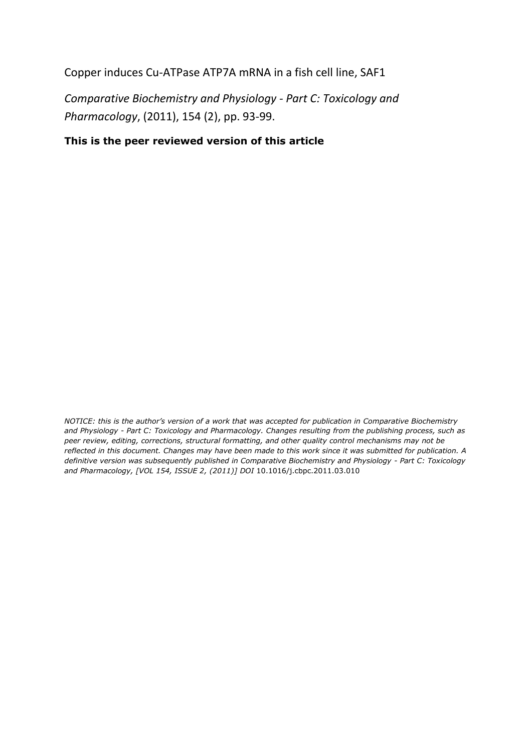Copper induces Cu-ATPase ATP7A mRNA in a fish cell line, SAF1

*Comparative Biochemistry and Physiology - Part C: Toxicology and Pharmacology*, (2011), 154 (2), pp. 93-99.

# **This is the peer reviewed version of this article**

*NOTICE: this is the author's version of a work that was accepted for publication in Comparative Biochemistry and Physiology - Part C: Toxicology and Pharmacology. Changes resulting from the publishing process, such as peer review, editing, corrections, structural formatting, and other quality control mechanisms may not be reflected in this document. Changes may have been made to this work since it was submitted for publication. A definitive version was subsequently published in Comparative Biochemistry and Physiology - Part C: Toxicology and Pharmacology, [VOL 154, ISSUE 2, (2011)] DOI* 10.1016/j.cbpc.2011.03.010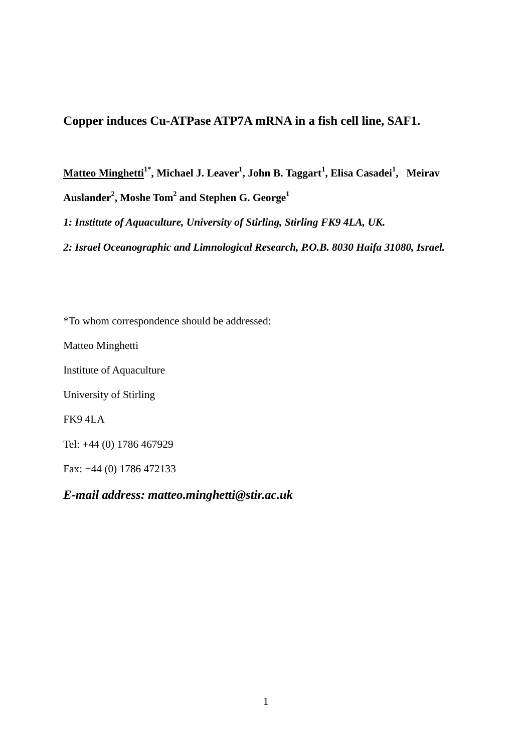# **Copper induces Cu-ATPase ATP7A mRNA in a fish cell line, SAF1.**

**Matteo Minghetti1\*, Michael J. Leaver<sup>1</sup> , John B. Taggart<sup>1</sup> , Elisa Casadei<sup>1</sup> , Meirav Auslander<sup>2</sup> , Moshe Tom<sup>2</sup> and Stephen G. George<sup>1</sup>**

*1: Institute of Aquaculture, University of Stirling, Stirling FK9 4LA, UK.*

*2: Israel Oceanographic and Limnological Research, P.O.B. 8030 Haifa 31080, Israel.* 

\*To whom correspondence should be addressed:

Matteo Minghetti

Institute of Aquaculture

University of Stirling

FK9 4LA

Tel: +44 (0) 1786 467929

Fax: +44 (0) 1786 472133

*E-mail address: matteo.minghetti@stir.ac.uk*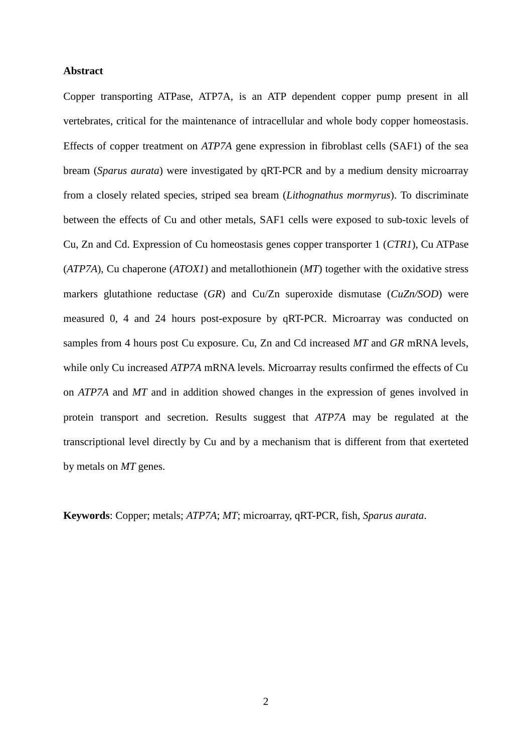### **Abstract**

Copper transporting ATPase, ATP7A, is an ATP dependent copper pump present in all vertebrates, critical for the maintenance of intracellular and whole body copper homeostasis. Effects of copper treatment on *ATP7A* gene expression in fibroblast cells (SAF1) of the sea bream (*Sparus aurata*) were investigated by qRT-PCR and by a medium density microarray from a closely related species, striped sea bream (*Lithognathus mormyrus*). To discriminate between the effects of Cu and other metals, SAF1 cells were exposed to sub-toxic levels of Cu, Zn and Cd. Expression of Cu homeostasis genes copper transporter 1 (*CTR1*), Cu ATPase (*ATP7A*), Cu chaperone (*ATOX1*) and metallothionein (*MT*) together with the oxidative stress markers glutathione reductase (*GR*) and Cu/Zn superoxide dismutase (*CuZn/SOD*) were measured 0, 4 and 24 hours post-exposure by qRT-PCR. Microarray was conducted on samples from 4 hours post Cu exposure. Cu, Zn and Cd increased *MT* and *GR* mRNA levels, while only Cu increased *ATP7A* mRNA levels. Microarray results confirmed the effects of Cu on *ATP7A* and *MT* and in addition showed changes in the expression of genes involved in protein transport and secretion. Results suggest that *ATP7A* may be regulated at the transcriptional level directly by Cu and by a mechanism that is different from that exerteted by metals on *MT* genes.

**Keywords**: Copper; metals; *ATP7A*; *MT*; microarray, qRT-PCR, fish, *Sparus aurata*.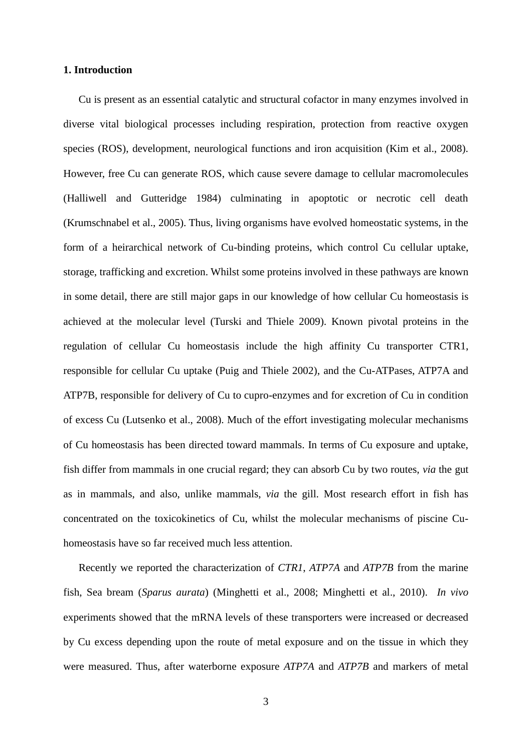## **1. Introduction**

Cu is present as an essential catalytic and structural cofactor in many enzymes involved in diverse vital biological processes including respiration, protection from reactive oxygen species (ROS), development, neurological functions and iron acquisition (Kim et al., 2008). However, free Cu can generate ROS, which cause severe damage to cellular macromolecules (Halliwell and Gutteridge 1984) culminating in apoptotic or necrotic cell death (Krumschnabel et al., 2005). Thus, living organisms have evolved homeostatic systems, in the form of a heirarchical network of Cu-binding proteins, which control Cu cellular uptake, storage, trafficking and excretion. Whilst some proteins involved in these pathways are known in some detail, there are still major gaps in our knowledge of how cellular Cu homeostasis is achieved at the molecular level (Turski and Thiele 2009). Known pivotal proteins in the regulation of cellular Cu homeostasis include the high affinity Cu transporter CTR1, responsible for cellular Cu uptake (Puig and Thiele 2002), and the Cu-ATPases, ATP7A and ATP7B, responsible for delivery of Cu to cupro-enzymes and for excretion of Cu in condition of excess Cu (Lutsenko et al., 2008). Much of the effort investigating molecular mechanisms of Cu homeostasis has been directed toward mammals. In terms of Cu exposure and uptake, fish differ from mammals in one crucial regard; they can absorb Cu by two routes, *via* the gut as in mammals, and also, unlike mammals, *via* the gill. Most research effort in fish has concentrated on the toxicokinetics of Cu, whilst the molecular mechanisms of piscine Cuhomeostasis have so far received much less attention.

Recently we reported the characterization of *CTR1*, *ATP7A* and *ATP7B* from the marine fish, Sea bream (*Sparus aurata*) (Minghetti et al., 2008; Minghetti et al., 2010). *In vivo* experiments showed that the mRNA levels of these transporters were increased or decreased by Cu excess depending upon the route of metal exposure and on the tissue in which they were measured. Thus, after waterborne exposure *ATP7A* and *ATP7B* and markers of metal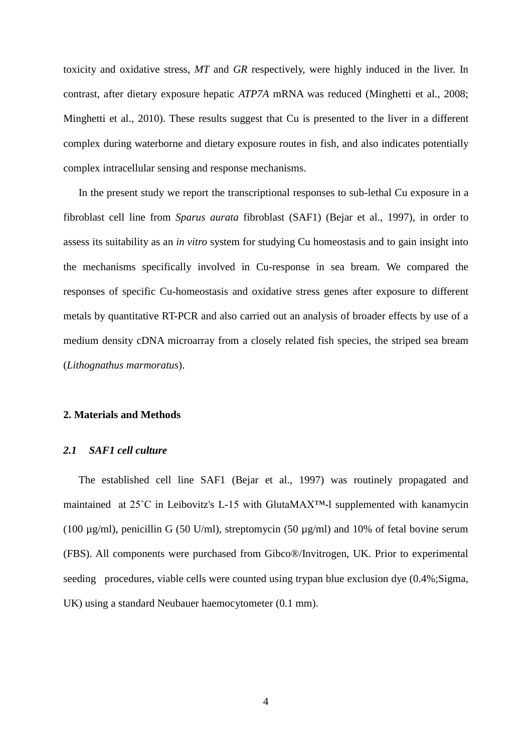toxicity and oxidative stress, *MT* and *GR* respectively, were highly induced in the liver. In contrast, after dietary exposure hepatic *ATP7A* mRNA was reduced (Minghetti et al., 2008; Minghetti et al., 2010). These results suggest that Cu is presented to the liver in a different complex during waterborne and dietary exposure routes in fish, and also indicates potentially complex intracellular sensing and response mechanisms.

In the present study we report the transcriptional responses to sub-lethal Cu exposure in a fibroblast cell line from *Sparus aurata* fibroblast (SAF1) (Bejar et al., 1997), in order to assess its suitability as an *in vitro* system for studying Cu homeostasis and to gain insight into the mechanisms specifically involved in Cu-response in sea bream. We compared the responses of specific Cu-homeostasis and oxidative stress genes after exposure to different metals by quantitative RT-PCR and also carried out an analysis of broader effects by use of a medium density cDNA microarray from a closely related fish species, the striped sea bream (*Lithognathus marmoratus*).

## **2. Materials and Methods**

### *2.1 SAF1 cell culture*

The established cell line SAF1 (Bejar et al., 1997) was routinely propagated and maintained at 25˚C in Leibovitz's L-15 with GlutaMAX™-l supplemented with kanamycin (100 µg/ml), penicillin G (50 U/ml), streptomycin (50 µg/ml) and 10% of fetal bovine serum (FBS). All components were purchased from Gibco®/Invitrogen, UK. Prior to experimental seeding procedures, viable cells were counted using trypan blue exclusion dye  $(0.4\%$ ; Sigma, UK) using a standard Neubauer haemocytometer (0.1 mm).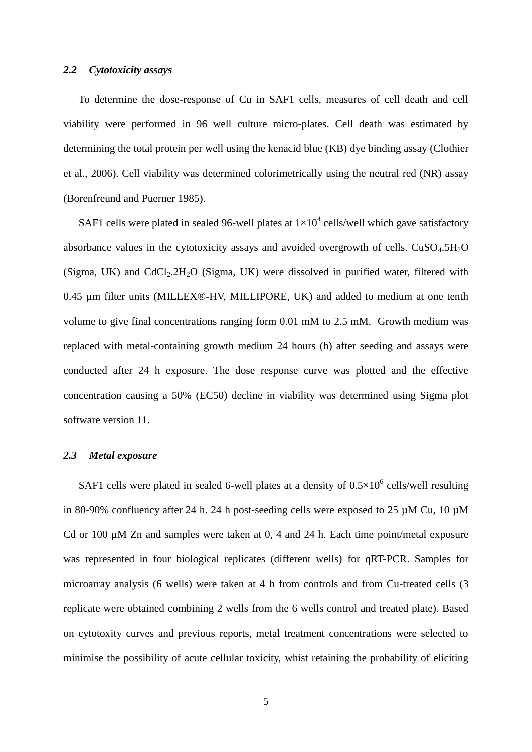# *2.2 Cytotoxicity assays*

To determine the dose-response of Cu in SAF1 cells, measures of cell death and cell viability were performed in 96 well culture micro-plates. Cell death was estimated by determining the total protein per well using the kenacid blue (KB) dye binding assay (Clothier et al., 2006). Cell viability was determined colorimetrically using the neutral red (NR) assay (Borenfreund and Puerner 1985).

SAF1 cells were plated in sealed 96-well plates at  $1\times10^4$  cells/well which gave satisfactory absorbance values in the cytotoxicity assays and avoided overgrowth of cells.  $CuSO<sub>4</sub>$ .5H<sub>2</sub>O (Sigma, UK) and  $CdCl<sub>2</sub>.2H<sub>2</sub>O$  (Sigma, UK) were dissolved in purified water, filtered with 0.45 µm filter units (MILLEX®-HV, MILLIPORE, UK) and added to medium at one tenth volume to give final concentrations ranging form 0.01 mM to 2.5 mM. Growth medium was replaced with metal-containing growth medium 24 hours (h) after seeding and assays were conducted after 24 h exposure. The dose response curve was plotted and the effective concentration causing a 50% (EC50) decline in viability was determined using Sigma plot software version 11.

### *2.3 Metal exposure*

SAF1 cells were plated in sealed 6-well plates at a density of  $0.5 \times 10^6$  cells/well resulting in 80-90% confluency after 24 h. 24 h post-seeding cells were exposed to 25  $\mu$ M Cu, 10  $\mu$ M Cd or 100  $\mu$ M Zn and samples were taken at 0, 4 and 24 h. Each time point/metal exposure was represented in four biological replicates (different wells) for qRT-PCR. Samples for microarray analysis (6 wells) were taken at 4 h from controls and from Cu-treated cells (3 replicate were obtained combining 2 wells from the 6 wells control and treated plate). Based on cytotoxity curves and previous reports, metal treatment concentrations were selected to minimise the possibility of acute cellular toxicity, whist retaining the probability of eliciting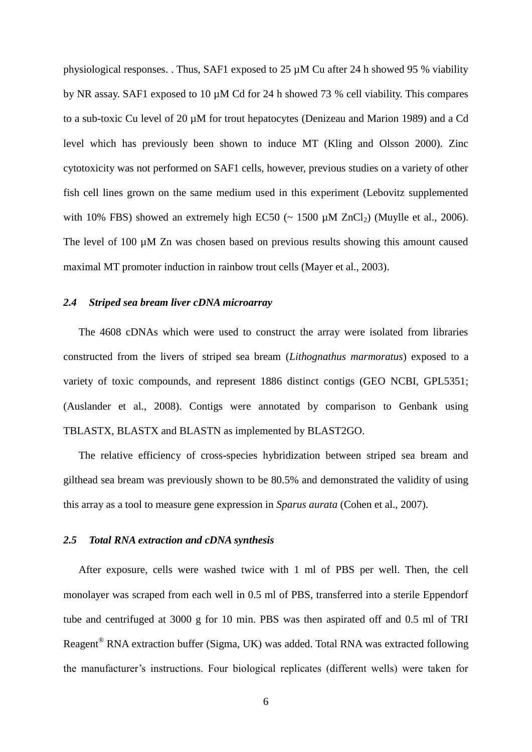physiological responses. . Thus, SAF1 exposed to 25 µM Cu after 24 h showed 95 % viability by NR assay. SAF1 exposed to 10 µM Cd for 24 h showed 73 % cell viability. This compares to a sub-toxic Cu level of 20 µM for trout hepatocytes (Denizeau and Marion 1989) and a Cd level which has previously been shown to induce MT (Kling and Olsson 2000). Zinc cytotoxicity was not performed on SAF1 cells, however, previous studies on a variety of other fish cell lines grown on the same medium used in this experiment (Lebovitz supplemented with 10% FBS) showed an extremely high EC50 ( $\sim$  1500  $\mu$ M ZnCl<sub>2</sub>) (Muylle et al., 2006). The level of 100  $\mu$ M Zn was chosen based on previous results showing this amount caused maximal MT promoter induction in rainbow trout cells (Mayer et al., 2003).

### *2.4 Striped sea bream liver cDNA microarray*

The 4608 cDNAs which were used to construct the array were isolated from libraries constructed from the livers of striped sea bream (*Lithognathus marmoratus*) exposed to a variety of toxic compounds, and represent 1886 distinct contigs (GEO NCBI, GPL5351; (Auslander et al., 2008). Contigs were annotated by comparison to Genbank using TBLASTX, BLASTX and BLASTN as implemented by BLAST2GO.

The relative efficiency of cross-species hybridization between striped sea bream and gilthead sea bream was previously shown to be 80.5% and demonstrated the validity of using this array as a tool to measure gene expression in *Sparus aurata* (Cohen et al., 2007).

### *2.5 Total RNA extraction and cDNA synthesis*

After exposure, cells were washed twice with 1 ml of PBS per well. Then, the cell monolayer was scraped from each well in 0.5 ml of PBS, transferred into a sterile Eppendorf tube and centrifuged at 3000 g for 10 min. PBS was then aspirated off and 0.5 ml of TRI Reagent® RNA extraction buffer (Sigma, UK) was added. Total RNA was extracted following the manufacturer's instructions. Four biological replicates (different wells) were taken for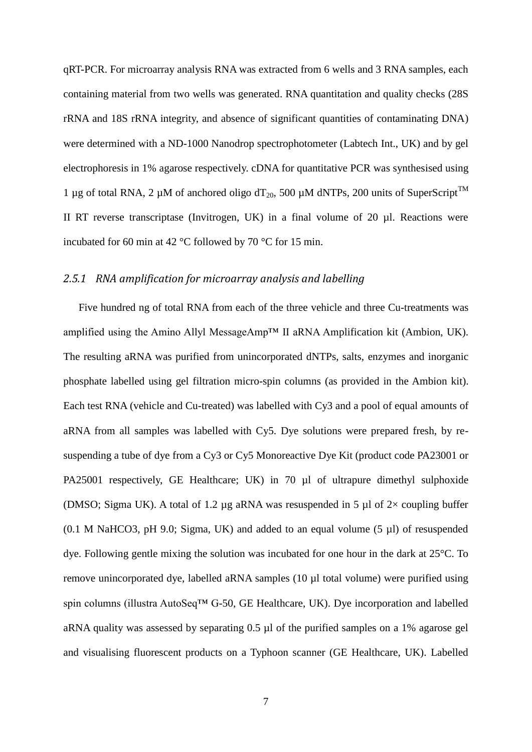qRT-PCR. For microarray analysis RNA was extracted from 6 wells and 3 RNA samples, each containing material from two wells was generated. RNA quantitation and quality checks (28S rRNA and 18S rRNA integrity, and absence of significant quantities of contaminating DNA) were determined with a ND-1000 Nanodrop spectrophotometer (Labtech Int., UK) and by gel electrophoresis in 1% agarose respectively. cDNA for quantitative PCR was synthesised using 1 µg of total RNA, 2 µM of anchored oligo  $dT_{20}$ , 500 µM dNTPs, 200 units of SuperScript<sup>TM</sup> II RT reverse transcriptase (Invitrogen, UK) in a final volume of 20 µl. Reactions were incubated for 60 min at 42 °C followed by 70 °C for 15 min.

# *2.5.1 RNA amplification for microarray analysis and labelling*

Five hundred ng of total RNA from each of the three vehicle and three Cu-treatments was amplified using the Amino Allyl MessageAmp™ II aRNA Amplification kit (Ambion, UK). The resulting aRNA was purified from unincorporated dNTPs, salts, enzymes and inorganic phosphate labelled using gel filtration micro-spin columns (as provided in the Ambion kit). Each test RNA (vehicle and Cu-treated) was labelled with Cy3 and a pool of equal amounts of aRNA from all samples was labelled with Cy5. Dye solutions were prepared fresh, by resuspending a tube of dye from a Cy3 or Cy5 Monoreactive Dye Kit (product code PA23001 or PA25001 respectively, GE Healthcare; UK) in 70 µl of ultrapure dimethyl sulphoxide (DMSO; Sigma UK). A total of 1.2 µg aRNA was resuspended in 5 µl of  $2\times$  coupling buffer  $(0.1 \text{ M } \text{NaHCO3}, \text{pH } 9.0; \text{Sigma}, \text{UK})$  and added to an equal volume  $(5 \mu l)$  of resuspended dye. Following gentle mixing the solution was incubated for one hour in the dark at 25°C. To remove unincorporated dye, labelled aRNA samples (10 µl total volume) were purified using spin columns (illustra AutoSeq™ G-50, GE Healthcare, UK). Dye incorporation and labelled aRNA quality was assessed by separating 0.5 µl of the purified samples on a 1% agarose gel and visualising fluorescent products on a Typhoon scanner (GE Healthcare, UK). Labelled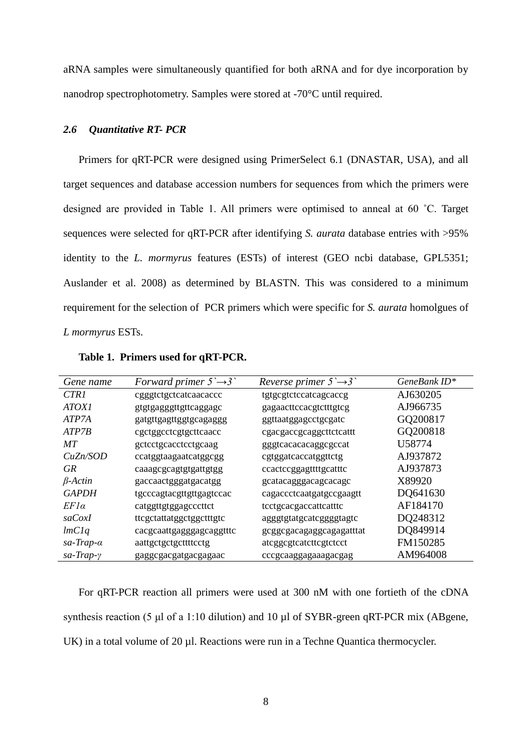aRNA samples were simultaneously quantified for both aRNA and for dye incorporation by nanodrop spectrophotometry. Samples were stored at -70°C until required.

### *2.6 Quantitative RT- PCR*

Primers for qRT-PCR were designed using PrimerSelect 6.1 (DNASTAR, USA), and all target sequences and database accession numbers for sequences from which the primers were designed are provided in Table 1. All primers were optimised to anneal at 60 ˚C. Target sequences were selected for qRT-PCR after identifying *S. aurata* database entries with >95% identity to the *L. mormyrus* features (ESTs) of interest (GEO ncbi database, GPL5351; Auslander et al. 2008) as determined by BLASTN. This was considered to a minimum requirement for the selection of PCR primers which were specific for *S. aurata* homolgues of *L mormyrus* ESTs.

| Gene name            | Forward primer $5 \rightarrow 3$ | <i>Reverse primer</i> $5 \rightarrow 3$ | GeneBank ID* |
|----------------------|----------------------------------|-----------------------------------------|--------------|
| CTR <sub>1</sub>     | cgggtctgctcatcaacaccc            | tgtgcgtctccatcagcaccg                   | AJ630205     |
| <i>ATOXI</i>         | gtgtgagggttgttcaggagc            | gagaacttccacgtctttgtcg                  | AJ966735     |
| ATP7A                | gatgttgagttggtgcagaggg           | ggttaatggagcctgcgatc                    | GQ200817     |
| ATP7B                | cgctggcctcgtgcttcaacc            | cgacgaccgcaggcttctcattt                 | GQ200818     |
| MТ                   | geteetgeaeeteetgeaag             | gggtcacacacaggcgccat                    | U58774       |
| CuZn/SOD             | ccatggtaagaatcatggcgg            | cgtggatcaccatggttctg                    | AJ937872     |
| <b>GR</b>            | caaagcgcagtgtgattgtgg            | ccactccggagttttgcatttc                  | AJ937873     |
| $\beta$ -Actin       | gaccaactgggatgacatgg             | gcatacagggacagcacagc                    | X89920       |
| <b>GAPDH</b>         | tgcccagtacgttgttgagtccac         | cagaccctcaatgatgccgaagtt                | DQ641630     |
| $EFI\alpha$          | catggttgtggagcccttct             | tcctgcacgaccattcatttc                   | AF184170     |
| saCoxI               | ttcgctattatggctggctttgtc         | agggtgtatgcatcggggtagtc                 | DQ248312     |
| lmClq                | cacgcaattgagggagcaggtttc         | gcggcgacagaggcagagatttat                | DQ849914     |
| $sa$ -Trap- $\alpha$ | aattgctgctgcttttcctg             | atcggcgtcatcttcgtctcct                  | FM150285     |
| $sa$ -Trap- $\gamma$ | gaggcgacgatgacgagaac             | cccgcaaggagaaagacgag                    | AM964008     |

**Table 1. Primers used for qRT-PCR.**

For qRT-PCR reaction all primers were used at 300 nM with one fortieth of the cDNA synthesis reaction (5 μl of a 1:10 dilution) and 10 µl of SYBR-green qRT-PCR mix (ABgene, UK) in a total volume of 20 µl. Reactions were run in a Techne Quantica thermocycler.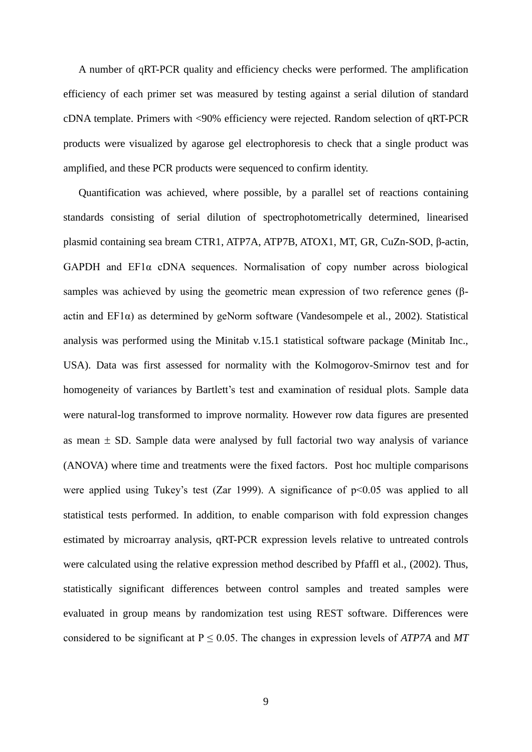A number of qRT-PCR quality and efficiency checks were performed. The amplification efficiency of each primer set was measured by testing against a serial dilution of standard cDNA template. Primers with <90% efficiency were rejected. Random selection of qRT-PCR products were visualized by agarose gel electrophoresis to check that a single product was amplified, and these PCR products were sequenced to confirm identity.

Quantification was achieved, where possible, by a parallel set of reactions containing standards consisting of serial dilution of spectrophotometrically determined, linearised plasmid containing sea bream CTR1, ATP7A, ATP7B, ATOX1, MT, GR, CuZn-SOD, β-actin, GAPDH and EF1α cDNA sequences. Normalisation of copy number across biological samples was achieved by using the geometric mean expression of two reference genes (βactin and EF1α) as determined by geNorm software (Vandesompele et al., 2002). Statistical analysis was performed using the Minitab v.15.1 statistical software package (Minitab Inc., USA). Data was first assessed for normality with the Kolmogorov-Smirnov test and for homogeneity of variances by Bartlett's test and examination of residual plots. Sample data were natural-log transformed to improve normality. However row data figures are presented as mean  $\pm$  SD. Sample data were analysed by full factorial two way analysis of variance (ANOVA) where time and treatments were the fixed factors. Post hoc multiple comparisons were applied using Tukey's test (Zar 1999). A significance of  $p<0.05$  was applied to all statistical tests performed. In addition, to enable comparison with fold expression changes estimated by microarray analysis, qRT-PCR expression levels relative to untreated controls were calculated using the relative expression method described by Pfaffl et al., (2002). Thus, statistically significant differences between control samples and treated samples were evaluated in group means by randomization test using REST software. Differences were considered to be significant at  $P \le 0.05$ . The changes in expression levels of *ATP7A* and *MT*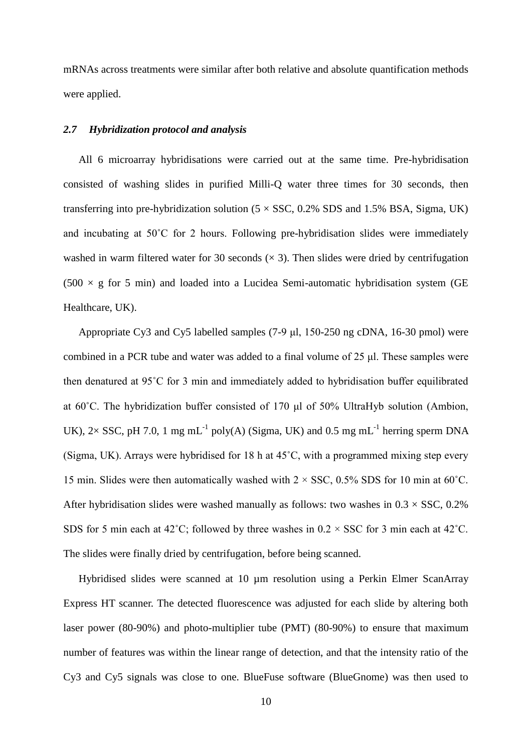mRNAs across treatments were similar after both relative and absolute quantification methods were applied.

### *2.7 Hybridization protocol and analysis*

All 6 microarray hybridisations were carried out at the same time. Pre-hybridisation consisted of washing slides in purified Milli-Q water three times for 30 seconds, then transferring into pre-hybridization solution  $(5 \times SSC, 0.2\% SDS$  and 1.5% BSA, Sigma, UK) and incubating at 50˚C for 2 hours. Following pre-hybridisation slides were immediately washed in warm filtered water for 30 seconds  $(x, 3)$ . Then slides were dried by centrifugation  $(500 \times g)$  for 5 min) and loaded into a Lucidea Semi-automatic hybridisation system (GE Healthcare, UK).

Appropriate Cy3 and Cy5 labelled samples (7-9 μl, 150-250 ng cDNA, 16-30 pmol) were combined in a PCR tube and water was added to a final volume of 25 μl. These samples were then denatured at 95˚C for 3 min and immediately added to hybridisation buffer equilibrated at 60˚C. The hybridization buffer consisted of 170 μl of 50% UltraHyb solution (Ambion, UK),  $2 \times$  SSC, pH 7.0, 1 mg mL<sup>-1</sup> poly(A) (Sigma, UK) and 0.5 mg mL<sup>-1</sup> herring sperm DNA (Sigma, UK). Arrays were hybridised for 18 h at 45˚C, with a programmed mixing step every 15 min. Slides were then automatically washed with  $2 \times$  SSC, 0.5% SDS for 10 min at 60°C. After hybridisation slides were washed manually as follows: two washes in  $0.3 \times$  SSC,  $0.2\%$ SDS for 5 min each at 42°C; followed by three washes in  $0.2 \times$  SSC for 3 min each at 42°C. The slides were finally dried by centrifugation, before being scanned.

Hybridised slides were scanned at 10 µm resolution using a Perkin Elmer ScanArray Express HT scanner. The detected fluorescence was adjusted for each slide by altering both laser power (80-90%) and photo-multiplier tube (PMT) (80-90%) to ensure that maximum number of features was within the linear range of detection, and that the intensity ratio of the Cy3 and Cy5 signals was close to one. BlueFuse software (BlueGnome) was then used to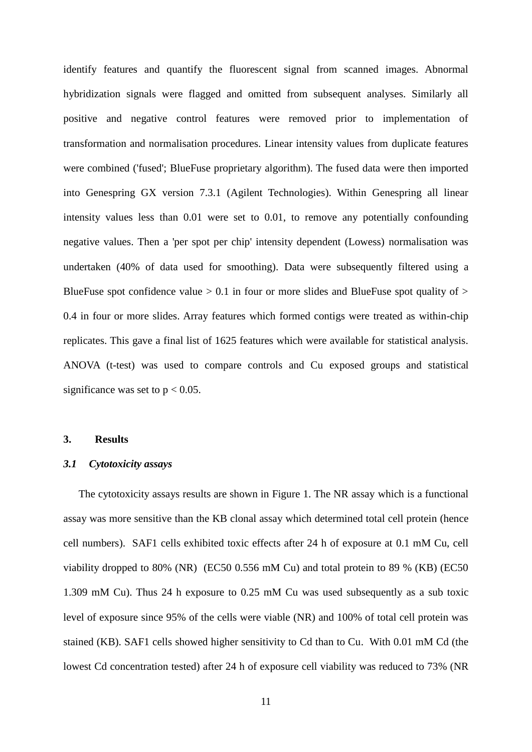identify features and quantify the fluorescent signal from scanned images. Abnormal hybridization signals were flagged and omitted from subsequent analyses. Similarly all positive and negative control features were removed prior to implementation of transformation and normalisation procedures. Linear intensity values from duplicate features were combined ('fused'; BlueFuse proprietary algorithm). The fused data were then imported into Genespring GX version 7.3.1 (Agilent Technologies). Within Genespring all linear intensity values less than 0.01 were set to 0.01, to remove any potentially confounding negative values. Then a 'per spot per chip' intensity dependent (Lowess) normalisation was undertaken (40% of data used for smoothing). Data were subsequently filtered using a BlueFuse spot confidence value  $> 0.1$  in four or more slides and BlueFuse spot quality of  $>$ 0.4 in four or more slides. Array features which formed contigs were treated as within-chip replicates. This gave a final list of 1625 features which were available for statistical analysis. ANOVA (t-test) was used to compare controls and Cu exposed groups and statistical significance was set to  $p < 0.05$ .

# **3. Results**

### *3.1 Cytotoxicity assays*

The cytotoxicity assays results are shown in Figure 1. The NR assay which is a functional assay was more sensitive than the KB clonal assay which determined total cell protein (hence cell numbers). SAF1 cells exhibited toxic effects after 24 h of exposure at 0.1 mM Cu, cell viability dropped to 80% (NR) (EC50 0.556 mM Cu) and total protein to 89 % (KB) (EC50 1.309 mM Cu). Thus 24 h exposure to 0.25 mM Cu was used subsequently as a sub toxic level of exposure since 95% of the cells were viable (NR) and 100% of total cell protein was stained (KB). SAF1 cells showed higher sensitivity to Cd than to Cu. With 0.01 mM Cd (the lowest Cd concentration tested) after 24 h of exposure cell viability was reduced to 73% (NR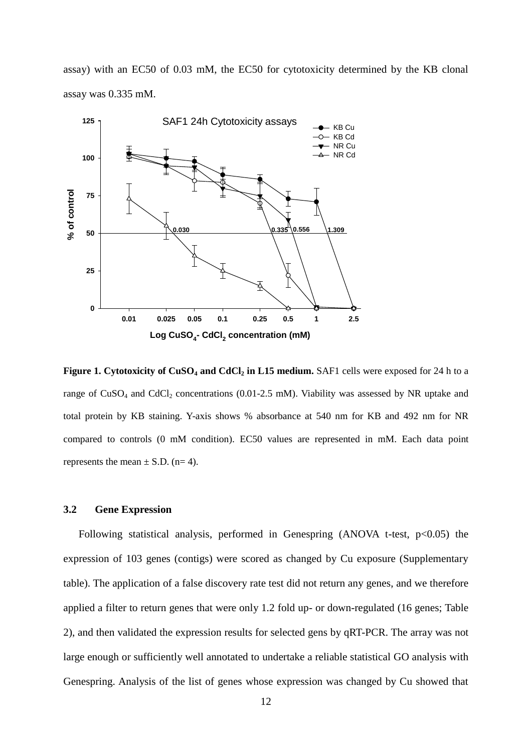assay) with an EC50 of 0.03 mM, the EC50 for cytotoxicity determined by the KB clonal assay was 0.335 mM.



**Figure 1. Cytotoxicity of CuSO<sup>4</sup> and CdCl<sup>2</sup> in L15 medium.** SAF1 cells were exposed for 24 h to a range of  $CuSO<sub>4</sub>$  and  $CdCl<sub>2</sub>$  concentrations (0.01-2.5 mM). Viability was assessed by NR uptake and total protein by KB staining. Y-axis shows % absorbance at 540 nm for KB and 492 nm for NR compared to controls (0 mM condition). EC50 values are represented in mM. Each data point represents the mean  $\pm$  S.D. (n= 4).

### **3.2 Gene Expression**

Following statistical analysis, performed in Genespring (ANOVA t-test,  $p<0.05$ ) the expression of 103 genes (contigs) were scored as changed by Cu exposure (Supplementary table). The application of a false discovery rate test did not return any genes, and we therefore applied a filter to return genes that were only 1.2 fold up- or down-regulated (16 genes; Table 2), and then validated the expression results for selected gens by qRT-PCR. The array was not large enough or sufficiently well annotated to undertake a reliable statistical GO analysis with Genespring. Analysis of the list of genes whose expression was changed by Cu showed that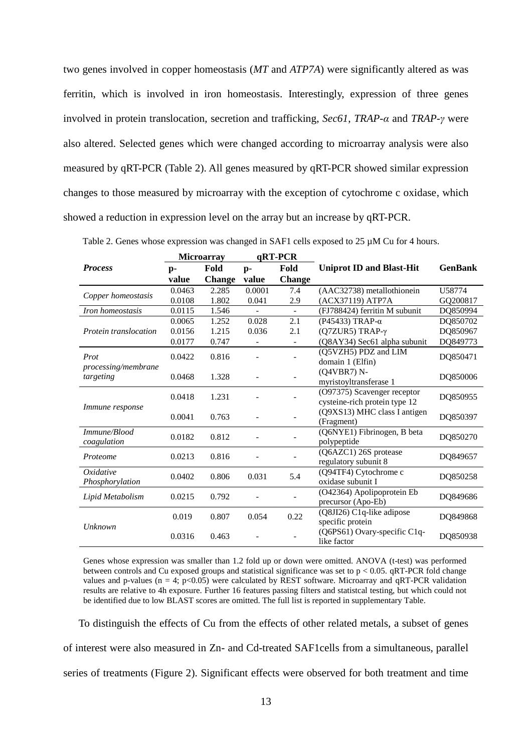two genes involved in copper homeostasis (*MT* and *ATP7A*) were significantly altered as was ferritin, which is involved in iron homeostasis. Interestingly, expression of three genes involved in protein translocation, secretion and trafficking, *Sec61*, *TRAP-α* and *TRAP-γ* were also altered. Selected genes which were changed according to microarray analysis were also measured by qRT-PCR (Table 2). All genes measured by qRT-PCR showed similar expression changes to those measured by microarray with the exception of cytochrome c oxidase, which showed a reduction in expression level on the array but an increase by qRT-PCR.

|                            | <b>Microarray</b> |               | qRT-PCR |               |                                 |                |  |
|----------------------------|-------------------|---------------|---------|---------------|---------------------------------|----------------|--|
| <b>Process</b>             | p-                | Fold          | $p-$    | Fold          | <b>Uniprot ID and Blast-Hit</b> | <b>GenBank</b> |  |
|                            | value             | <b>Change</b> | value   | <b>Change</b> |                                 |                |  |
| Copper homeostasis         | 0.0463            | 2.285         | 0.0001  | 7.4           | (AAC32738) metallothionein      | U58774         |  |
|                            | 0.0108            | 1.802         | 0.041   | 2.9           | (ACX37119) ATP7A                | GQ200817       |  |
| Iron homeostasis           | 0.0115            | 1.546         |         | $\sim$        | (FJ788424) ferritin M subunit   | DQ850994       |  |
|                            | 0.0065            | 1.252         | 0.028   | 2.1           | (P45433) TRAP- $\alpha$         | DQ850702       |  |
| Protein translocation      | 0.0156            | 1.215         | 0.036   | 2.1           | (Q7ZUR5) TRAP-γ                 | DQ850967       |  |
|                            | 0.0177            | 0.747         |         |               | (Q8AY34) Sec61 alpha subunit    | DQ849773       |  |
| Prot                       | 0.0422            | 0.816         |         |               | (Q5VZH5) PDZ and LIM            | DQ850471       |  |
| <i>processing/membrane</i> |                   |               |         |               | domain 1 (Elfin)                |                |  |
| targeting                  | 0.0468            | 1.328         |         |               | (Q4VBR7) N-                     | DQ850006       |  |
|                            |                   |               |         |               | myristoyltransferase 1          |                |  |
|                            | 0.0418            | 1.231         |         |               | (O97375) Scavenger receptor     | DQ850955       |  |
| Immune response            |                   |               |         |               | cysteine-rich protein type 12   |                |  |
|                            | 0.0041            | 0.763         |         |               | (Q9XS13) MHC class I antigen    | DQ850397       |  |
|                            |                   |               |         |               | (Fragment)                      |                |  |
| Immune/Blood               | 0.0182            | 0.812         |         |               | (Q6NYE1) Fibrinogen, B beta     | DQ850270       |  |
| coagulation                |                   |               |         |               | polypeptide                     |                |  |
| Proteome                   | 0.0213            | 0.816         |         |               | (Q6AZC1) 26S protease           | DQ849657       |  |
|                            |                   |               |         |               | regulatory subunit 8            |                |  |
| Oxidative                  | 0.0402            | 0.806         | 0.031   | 5.4           | (Q94TF4) Cytochrome c           | DQ850258       |  |
| Phosphorylation            |                   |               |         |               | oxidase subunit I               |                |  |
| Lipid Metabolism           | 0.0215            | 0.792         |         |               | (O42364) Apolipoprotein Eb      | DQ849686       |  |
|                            |                   |               |         |               | precursor (Apo-Eb)              |                |  |
|                            | 0.019             | 0.807         | 0.054   | 0.22          | (Q8JI26) C1q-like adipose       | DQ849868       |  |
| Unknown                    |                   |               |         |               | specific protein                |                |  |
|                            | 0.0316            | 0.463         |         |               | (Q6PS61) Ovary-specific C1q-    | DQ850938       |  |
|                            |                   |               |         |               | like factor                     |                |  |

Table 2. Genes whose expression was changed in SAF1 cells exposed to 25  $\mu$ M Cu for 4 hours.

Genes whose expression was smaller than 1.2 fold up or down were omitted. ANOVA (t-test) was performed between controls and Cu exposed groups and statistical significance was set to p < 0.05. qRT-PCR fold change values and p-values (n = 4;  $p<0.05$ ) were calculated by REST software. Microarray and qRT-PCR validation results are relative to 4h exposure. Further 16 features passing filters and statistcal testing, but which could not be identified due to low BLAST scores are omitted. The full list is reported in supplementary Table.

To distinguish the effects of Cu from the effects of other related metals, a subset of genes of interest were also measured in Zn- and Cd-treated SAF1cells from a simultaneous, parallel series of treatments (Figure 2). Significant effects were observed for both treatment and time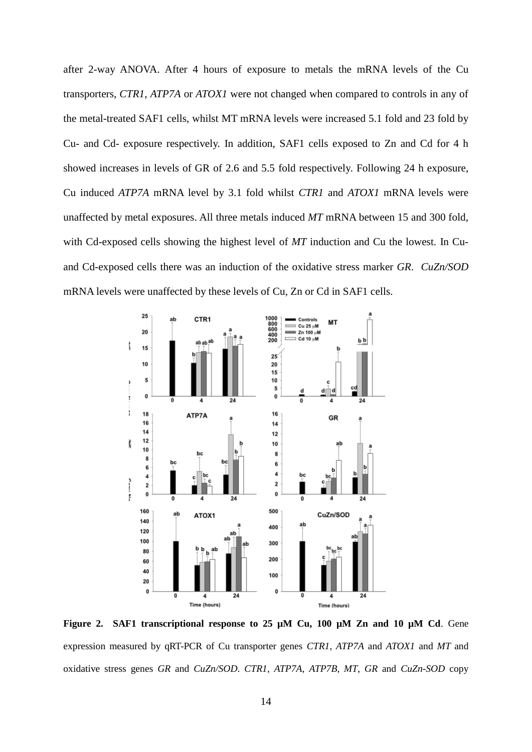after 2-way ANOVA. After 4 hours of exposure to metals the mRNA levels of the Cu transporters, *CTR1*, *ATP7A* or *ATOX1* were not changed when compared to controls in any of the metal-treated SAF1 cells, whilst MT mRNA levels were increased 5.1 fold and 23 fold by Cu- and Cd- exposure respectively. In addition, SAF1 cells exposed to Zn and Cd for 4 h showed increases in levels of GR of 2.6 and 5.5 fold respectively. Following 24 h exposure, Cu induced *ATP7A* mRNA level by 3.1 fold whilst *CTR1* and *ATOX1* mRNA levels were unaffected by metal exposures. All three metals induced *MT* mRNA between 15 and 300 fold, with Cd-exposed cells showing the highest level of *MT* induction and Cu the lowest. In Cuand Cd-exposed cells there was an induction of the oxidative stress marker *GR*. *CuZn/SOD* mRNA levels were unaffected by these levels of Cu, Zn or Cd in SAF1 cells.



**Figure 2. SAF1 transcriptional response to 25 µM Cu, 100 µM Zn and 10 µM Cd**. Gene expression measured by qRT-PCR of Cu transporter genes *CTR1*, *ATP7A* and *ATOX1* and *MT* and oxidative stress genes *GR* and *CuZn/SOD*. *CTR1*, *ATP7A*, *ATP7B*, *MT*, *GR* and *CuZn-SOD* copy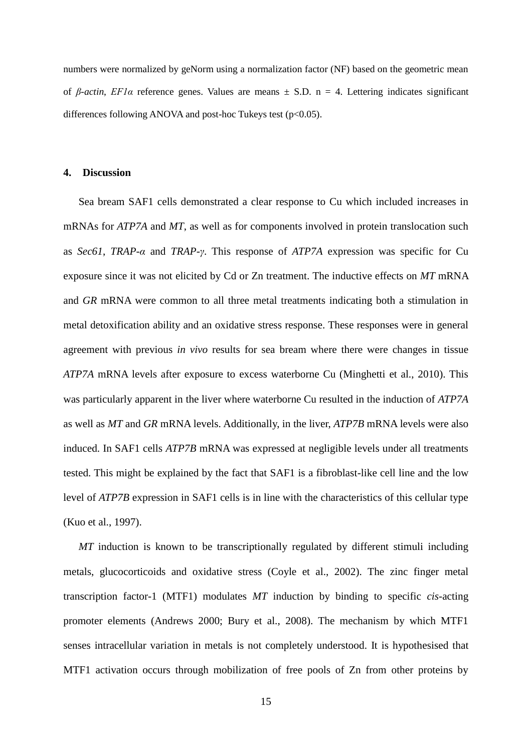numbers were normalized by geNorm using a normalization factor (NF) based on the geometric mean of *β-actin*, *EF1α* reference genes. Values are means ± S.D. n = 4. Lettering indicates significant differences following ANOVA and post-hoc Tukeys test  $(p<0.05)$ .

## **4. Discussion**

Sea bream SAF1 cells demonstrated a clear response to Cu which included increases in mRNAs for *ATP7A* and *MT*, as well as for components involved in protein translocation such as *Sec61*, *TRAP-α* and *TRAP-γ*. This response of *ATP7A* expression was specific for Cu exposure since it was not elicited by Cd or Zn treatment. The inductive effects on *MT* mRNA and *GR* mRNA were common to all three metal treatments indicating both a stimulation in metal detoxification ability and an oxidative stress response. These responses were in general agreement with previous *in vivo* results for sea bream where there were changes in tissue *ATP7A* mRNA levels after exposure to excess waterborne Cu (Minghetti et al., 2010). This was particularly apparent in the liver where waterborne Cu resulted in the induction of *ATP7A* as well as *MT* and *GR* mRNA levels. Additionally, in the liver, *ATP7B* mRNA levels were also induced. In SAF1 cells *ATP7B* mRNA was expressed at negligible levels under all treatments tested. This might be explained by the fact that SAF1 is a fibroblast-like cell line and the low level of *ATP7B* expression in SAF1 cells is in line with the characteristics of this cellular type (Kuo et al., 1997).

*MT* induction is known to be transcriptionally regulated by different stimuli including metals, glucocorticoids and oxidative stress (Coyle et al., 2002). The zinc finger metal transcription factor-1 (MTF1) modulates *MT* induction by binding to specific *cis*-acting promoter elements (Andrews 2000; Bury et al., 2008). The mechanism by which MTF1 senses intracellular variation in metals is not completely understood. It is hypothesised that MTF1 activation occurs through mobilization of free pools of Zn from other proteins by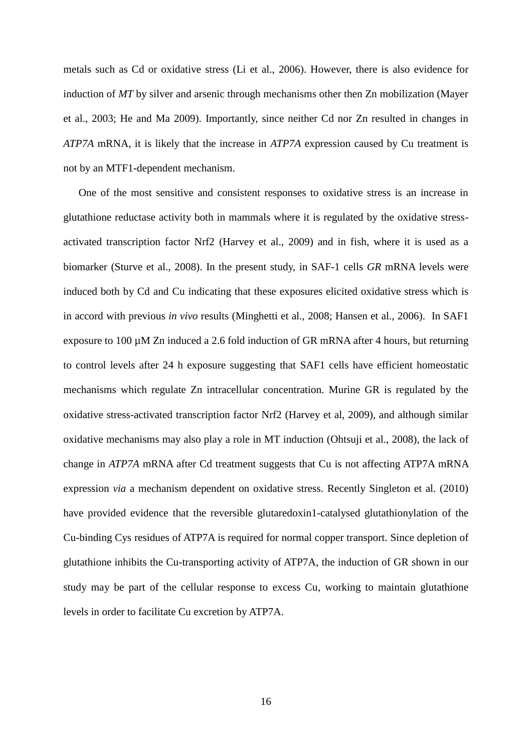metals such as Cd or oxidative stress (Li et al., 2006). However, there is also evidence for induction of *MT* by silver and arsenic through mechanisms other then Zn mobilization (Mayer et al., 2003; He and Ma 2009). Importantly, since neither Cd nor Zn resulted in changes in *ATP7A* mRNA, it is likely that the increase in *ATP7A* expression caused by Cu treatment is not by an MTF1-dependent mechanism.

One of the most sensitive and consistent responses to oxidative stress is an increase in glutathione reductase activity both in mammals where it is regulated by the oxidative stressactivated transcription factor Nrf2 (Harvey et al., 2009) and in fish, where it is used as a biomarker (Sturve et al., 2008). In the present study, in SAF-1 cells *GR* mRNA levels were induced both by Cd and Cu indicating that these exposures elicited oxidative stress which is in accord with previous *in vivo* results (Minghetti et al., 2008; Hansen et al., 2006). In SAF1 exposure to 100 µM Zn induced a 2.6 fold induction of GR mRNA after 4 hours, but returning to control levels after 24 h exposure suggesting that SAF1 cells have efficient homeostatic mechanisms which regulate Zn intracellular concentration. Murine GR is regulated by the oxidative stress-activated transcription factor Nrf2 (Harvey et al, 2009), and although similar oxidative mechanisms may also play a role in MT induction (Ohtsuji et al., 2008), the lack of change in *ATP7A* mRNA after Cd treatment suggests that Cu is not affecting ATP7A mRNA expression *via* a mechanism dependent on oxidative stress. Recently Singleton et al. (2010) have provided evidence that the reversible glutaredoxin1-catalysed glutathionylation of the Cu-binding Cys residues of ATP7A is required for normal copper transport. Since depletion of glutathione inhibits the Cu-transporting activity of ATP7A, the induction of GR shown in our study may be part of the cellular response to excess Cu, working to maintain glutathione levels in order to facilitate Cu excretion by ATP7A.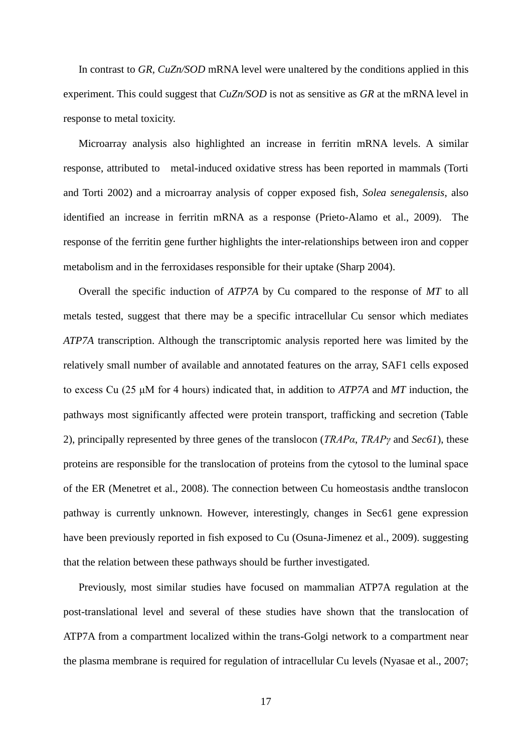In contrast to *GR, CuZn/SOD* mRNA level were unaltered by the conditions applied in this experiment. This could suggest that *CuZn/SOD* is not as sensitive as *GR* at the mRNA level in response to metal toxicity.

Microarray analysis also highlighted an increase in ferritin mRNA levels. A similar response, attributed to metal-induced oxidative stress has been reported in mammals (Torti and Torti 2002) and a microarray analysis of copper exposed fish, *Solea senegalensis*, also identified an increase in ferritin mRNA as a response (Prieto-Alamo et al., 2009). The response of the ferritin gene further highlights the inter-relationships between iron and copper metabolism and in the ferroxidases responsible for their uptake (Sharp 2004).

Overall the specific induction of *ATP7A* by Cu compared to the response of *MT* to all metals tested, suggest that there may be a specific intracellular Cu sensor which mediates *ATP7A* transcription. Although the transcriptomic analysis reported here was limited by the relatively small number of available and annotated features on the array, SAF1 cells exposed to excess Cu (25 μM for 4 hours) indicated that, in addition to *ATP7A* and *MT* induction, the pathways most significantly affected were protein transport, trafficking and secretion (Table 2), principally represented by three genes of the translocon (*TRAPα*, *TRAPγ* and *Sec61*), these proteins are responsible for the translocation of proteins from the cytosol to the luminal space of the ER (Menetret et al., 2008). The connection between Cu homeostasis andthe translocon pathway is currently unknown. However, interestingly, changes in Sec61 gene expression have been previously reported in fish exposed to Cu (Osuna-Jimenez et al., 2009). suggesting that the relation between these pathways should be further investigated.

Previously, most similar studies have focused on mammalian ATP7A regulation at the post-translational level and several of these studies have shown that the translocation of ATP7A from a compartment localized within the trans-Golgi network to a compartment near the plasma membrane is required for regulation of intracellular Cu levels (Nyasae et al., 2007;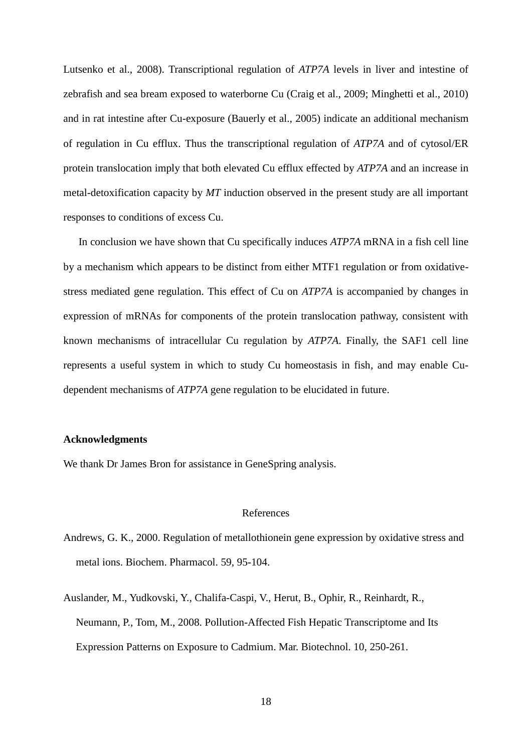Lutsenko et al., 2008). Transcriptional regulation of *ATP7A* levels in liver and intestine of zebrafish and sea bream exposed to waterborne Cu (Craig et al., 2009; Minghetti et al., 2010) and in rat intestine after Cu-exposure (Bauerly et al., 2005) indicate an additional mechanism of regulation in Cu efflux. Thus the transcriptional regulation of *ATP7A* and of cytosol/ER protein translocation imply that both elevated Cu efflux effected by *ATP7A* and an increase in metal-detoxification capacity by *MT* induction observed in the present study are all important responses to conditions of excess Cu.

In conclusion we have shown that Cu specifically induces *ATP7A* mRNA in a fish cell line by a mechanism which appears to be distinct from either MTF1 regulation or from oxidativestress mediated gene regulation. This effect of Cu on *ATP7A* is accompanied by changes in expression of mRNAs for components of the protein translocation pathway, consistent with known mechanisms of intracellular Cu regulation by *ATP7A*. Finally, the SAF1 cell line represents a useful system in which to study Cu homeostasis in fish, and may enable Cudependent mechanisms of *ATP7A* gene regulation to be elucidated in future.

### **Acknowledgments**

We thank Dr James Bron for assistance in GeneSpring analysis.

#### References

- Andrews, G. K., 2000. Regulation of metallothionein gene expression by oxidative stress and metal ions. Biochem. Pharmacol. 59, 95-104.
- Auslander, M., Yudkovski, Y., Chalifa-Caspi, V., Herut, B., Ophir, R., Reinhardt, R., Neumann, P., Tom, M., 2008. Pollution-Affected Fish Hepatic Transcriptome and Its Expression Patterns on Exposure to Cadmium. Mar. Biotechnol. 10, 250-261.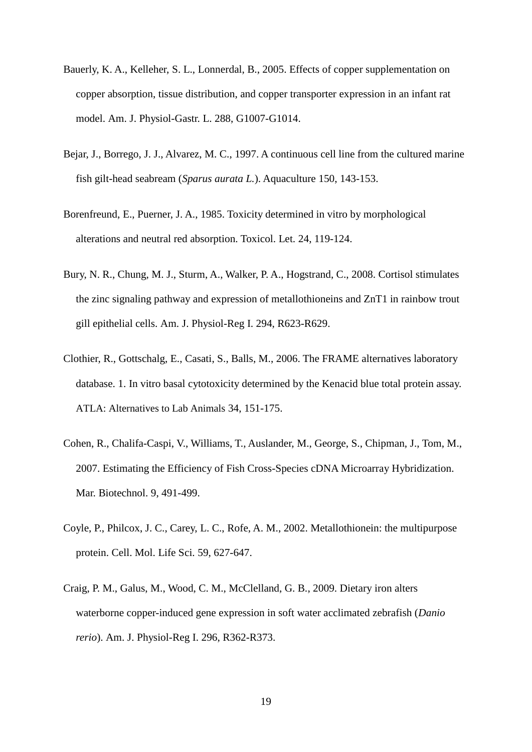- Bauerly, K. A., Kelleher, S. L., Lonnerdal, B., 2005. Effects of copper supplementation on copper absorption, tissue distribution, and copper transporter expression in an infant rat model. Am. J. Physiol-Gastr. L. 288, G1007-G1014.
- Bejar, J., Borrego, J. J., Alvarez, M. C., 1997. A continuous cell line from the cultured marine fish gilt-head seabream (*Sparus aurata L.*). Aquaculture 150, 143-153.
- Borenfreund, E., Puerner, J. A., 1985. Toxicity determined in vitro by morphological alterations and neutral red absorption. Toxicol. Let. 24, 119-124.
- Bury, N. R., Chung, M. J., Sturm, A., Walker, P. A., Hogstrand, C., 2008. Cortisol stimulates the zinc signaling pathway and expression of metallothioneins and ZnT1 in rainbow trout gill epithelial cells. Am. J. Physiol-Reg I. 294, R623-R629.
- Clothier, R., Gottschalg, E., Casati, S., Balls, M., 2006. The FRAME alternatives laboratory database. 1. In vitro basal cytotoxicity determined by the Kenacid blue total protein assay. ATLA: Alternatives to Lab Animals 34, 151-175.
- Cohen, R., Chalifa-Caspi, V., Williams, T., Auslander, M., George, S., Chipman, J., Tom, M., 2007. Estimating the Efficiency of Fish Cross-Species cDNA Microarray Hybridization. Mar. Biotechnol. 9, 491-499.
- Coyle, P., Philcox, J. C., Carey, L. C., Rofe, A. M., 2002. Metallothionein: the multipurpose protein. Cell. Mol. Life Sci. 59, 627-647.
- Craig, P. M., Galus, M., Wood, C. M., McClelland, G. B., 2009. Dietary iron alters waterborne copper-induced gene expression in soft water acclimated zebrafish (*Danio rerio*). Am. J. Physiol-Reg I. 296, R362-R373.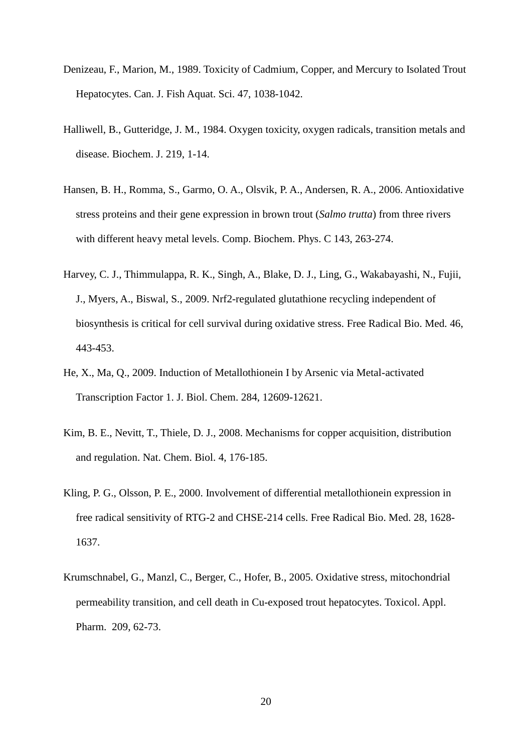- Denizeau, F., Marion, M., 1989. Toxicity of Cadmium, Copper, and Mercury to Isolated Trout Hepatocytes. Can. J. Fish Aquat. Sci. 47, 1038-1042.
- Halliwell, B., Gutteridge, J. M., 1984. Oxygen toxicity, oxygen radicals, transition metals and disease. Biochem. J. 219, 1-14.
- Hansen, B. H., Romma, S., Garmo, O. A., Olsvik, P. A., Andersen, R. A., 2006. Antioxidative stress proteins and their gene expression in brown trout (*Salmo trutta*) from three rivers with different heavy metal levels. Comp. Biochem. Phys. C 143, 263-274.
- Harvey, C. J., Thimmulappa, R. K., Singh, A., Blake, D. J., Ling, G., Wakabayashi, N., Fujii, J., Myers, A., Biswal, S., 2009. Nrf2-regulated glutathione recycling independent of biosynthesis is critical for cell survival during oxidative stress. Free Radical Bio. Med. 46, 443-453.
- He, X., Ma, Q., 2009. Induction of Metallothionein I by Arsenic via Metal-activated Transcription Factor 1. J. Biol. Chem. 284, 12609-12621.
- Kim, B. E., Nevitt, T., Thiele, D. J., 2008. Mechanisms for copper acquisition, distribution and regulation. Nat. Chem. Biol. 4, 176-185.
- Kling, P. G., Olsson, P. E., 2000. Involvement of differential metallothionein expression in free radical sensitivity of RTG-2 and CHSE-214 cells. Free Radical Bio. Med. 28, 1628- 1637.
- Krumschnabel, G., Manzl, C., Berger, C., Hofer, B., 2005. Oxidative stress, mitochondrial permeability transition, and cell death in Cu-exposed trout hepatocytes. Toxicol. Appl. Pharm. 209, 62-73.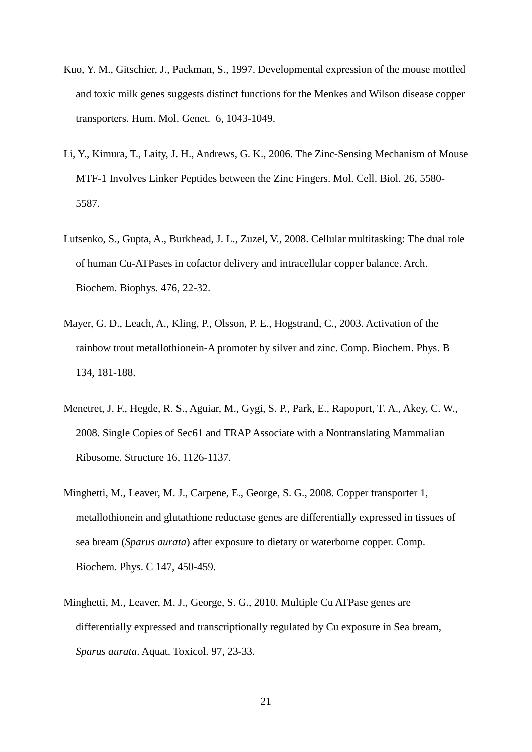- Kuo, Y. M., Gitschier, J., Packman, S., 1997. Developmental expression of the mouse mottled and toxic milk genes suggests distinct functions for the Menkes and Wilson disease copper transporters. Hum. Mol. Genet. 6, 1043-1049.
- Li, Y., Kimura, T., Laity, J. H., Andrews, G. K., 2006. The Zinc-Sensing Mechanism of Mouse MTF-1 Involves Linker Peptides between the Zinc Fingers. Mol. Cell. Biol. 26, 5580- 5587.
- Lutsenko, S., Gupta, A., Burkhead, J. L., Zuzel, V., 2008. Cellular multitasking: The dual role of human Cu-ATPases in cofactor delivery and intracellular copper balance. Arch. Biochem. Biophys. 476, 22-32.
- Mayer, G. D., Leach, A., Kling, P., Olsson, P. E., Hogstrand, C., 2003. Activation of the rainbow trout metallothionein-A promoter by silver and zinc. Comp. Biochem. Phys. B 134, 181-188.
- Menetret, J. F., Hegde, R. S., Aguiar, M., Gygi, S. P., Park, E., Rapoport, T. A., Akey, C. W., 2008. Single Copies of Sec61 and TRAP Associate with a Nontranslating Mammalian Ribosome. Structure 16, 1126-1137.
- Minghetti, M., Leaver, M. J., Carpene, E., George, S. G., 2008. Copper transporter 1, metallothionein and glutathione reductase genes are differentially expressed in tissues of sea bream (*Sparus aurata*) after exposure to dietary or waterborne copper. Comp. Biochem. Phys. C 147, 450-459.
- Minghetti, M., Leaver, M. J., George, S. G., 2010. Multiple Cu ATPase genes are differentially expressed and transcriptionally regulated by Cu exposure in Sea bream, *Sparus aurata*. Aquat. Toxicol. 97, 23-33.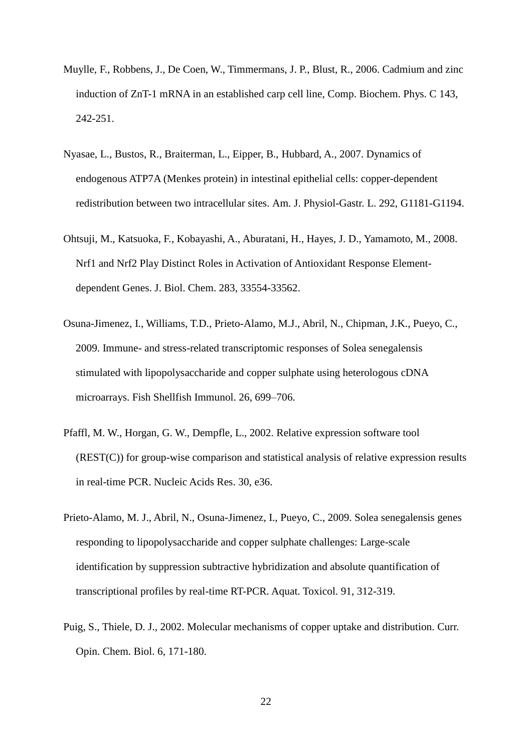- Muylle, F., Robbens, J., De Coen, W., Timmermans, J. P., Blust, R., 2006. Cadmium and zinc induction of ZnT-1 mRNA in an established carp cell line, Comp. Biochem. Phys. C 143, 242-251.
- Nyasae, L., Bustos, R., Braiterman, L., Eipper, B., Hubbard, A., 2007. Dynamics of endogenous ATP7A (Menkes protein) in intestinal epithelial cells: copper-dependent redistribution between two intracellular sites. Am. J. Physiol-Gastr. L. 292, G1181-G1194.
- Ohtsuji, M., Katsuoka, F., Kobayashi, A., Aburatani, H., Hayes, J. D., Yamamoto, M., 2008. Nrf1 and Nrf2 Play Distinct Roles in Activation of Antioxidant Response Elementdependent Genes. J. Biol. Chem. 283, 33554-33562.
- Osuna-Jimenez, I., Williams, T.D., Prieto-Alamo, M.J., Abril, N., Chipman, J.K., Pueyo, C., 2009. Immune- and stress-related transcriptomic responses of Solea senegalensis stimulated with lipopolysaccharide and copper sulphate using heterologous cDNA microarrays. Fish Shellfish Immunol. 26, 699–706.
- Pfaffl, M. W., Horgan, G. W., Dempfle, L., 2002. Relative expression software tool (REST(C)) for group-wise comparison and statistical analysis of relative expression results in real-time PCR. Nucleic Acids Res. 30, e36.
- Prieto-Alamo, M. J., Abril, N., Osuna-Jimenez, I., Pueyo, C., 2009. Solea senegalensis genes responding to lipopolysaccharide and copper sulphate challenges: Large-scale identification by suppression subtractive hybridization and absolute quantification of transcriptional profiles by real-time RT-PCR. Aquat. Toxicol. 91, 312-319.
- Puig, S., Thiele, D. J., 2002. Molecular mechanisms of copper uptake and distribution. Curr. Opin. Chem. Biol. 6, 171-180.